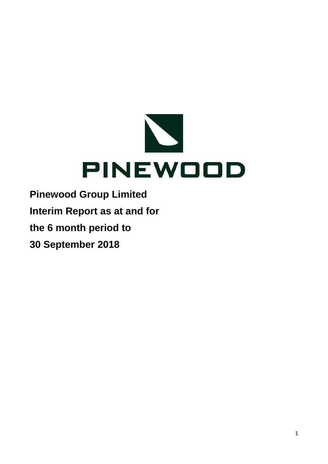

**Pinewood Group Limited Interim Report as at and for the 6 month period to 30 September 2018**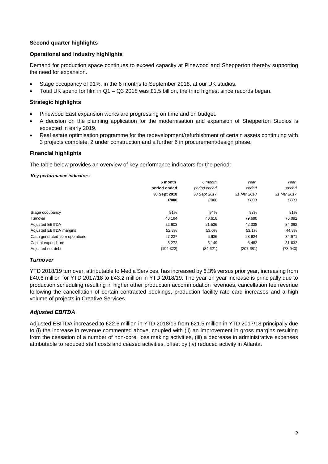# **Second quarter highlights**

### **Operational and industry highlights**

Demand for production space continues to exceed capacity at Pinewood and Shepperton thereby supporting the need for expansion.

- Stage occupancy of 91%, in the 6 months to September 2018, at our UK studios.
- Total UK spend for film in  $Q1 Q3$  2018 was £1.5 billion, the third highest since records began.

### **Strategic highlights**

- Pinewood East expansion works are progressing on time and on budget.
- A decision on the planning application for the modernisation and expansion of Shepperton Studios is expected in early 2019.
- Real estate optimisation programme for the redevelopment/refurbishment of certain assets continuing with 3 projects complete, 2 under construction and a further 6 in procurement/design phase.

### **Financial highlights**

The table below provides an overview of key performance indicators for the period:

#### *Key performance indicators*

|                                | 6 month      | 6 month      | Year        | Year        |
|--------------------------------|--------------|--------------|-------------|-------------|
|                                | period ended | period ended | ended       | ended       |
|                                | 30 Sept 2018 | 30 Sept 2017 | 31 Mar 2018 | 31 Mar 2017 |
|                                | £'000        | £'000        | £'000       | £'000       |
| Stage occupancy                | 91%          | 94%          | 93%         | 81%         |
| Turnover                       | 43.184       | 40.618       | 79,690      | 76,082      |
| Adjusted EBITDA                | 22.603       | 21,536       | 42,338      | 34,062      |
| Adjusted EBITDA margins        | 52.3%        | 53.0%        | 53.1%       | 44.8%       |
| Cash generated from operations | 27,237       | 6,636        | 23,624      | 34,971      |
| Capital expenditure            | 8,272        | 5,149        | 6,482       | 31,632      |
| Adjusted net debt              | (194, 322)   | (84, 621)    | (207, 681)  | (73,040)    |

#### *Turnover*

YTD 2018/19 turnover, attributable to Media Services, has increased by 6.3% versus prior year, increasing from £40.6 million for YTD 2017/18 to £43.2 million in YTD 2018/19. The year on year increase is principally due to production scheduling resulting in higher other production accommodation revenues, cancellation fee revenue following the cancellation of certain contracted bookings, production facility rate card increases and a high volume of projects in Creative Services.

### *Adjusted EBITDA*

Adjusted EBITDA increased to £22.6 million in YTD 2018/19 from £21.5 million in YTD 2017/18 principally due to (i) the increase in revenue commented above, coupled with (ii) an improvement in gross margins resulting from the cessation of a number of non-core, loss making activities, (iii) a decrease in administrative expenses attributable to reduced staff costs and ceased activities, offset by (iv) reduced activity in Atlanta.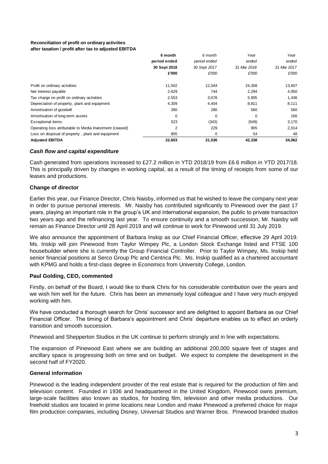#### **Reconciliation of profit on ordinary activities after taxation / profit after tax to adjusted EBITDA**

|                                                         | 6 month      | 6 month      | Year        | Year        |
|---------------------------------------------------------|--------------|--------------|-------------|-------------|
|                                                         | period ended | period ended | ended       | ended       |
|                                                         | 30 Sept 2018 | 30 Sept 2017 | 31 Mar 2018 | 31 Mar 2017 |
|                                                         | £'000        | £'000        | £'000       | £'000       |
| Profit on ordinary activities                           | 11,502       | 12,544       | 24,358      | 13,607      |
| Net Interest payable                                    | 2,629        | 744          | 2,294       | 4,950       |
| Tax charge on profit on ordinary activities             | 2,553        | 3,678        | 5,905       | 1,436       |
| Depreciation of property, plant and equipment           | 4,309        | 4,404        | 8,811       | 8,111       |
| Amortisation of goodwill                                | 280          | 280          | 560         | 560         |
| Amortisation of long-term assets                        | 0            | $\Omega$     | $\Omega$    | 166         |
| <b>Exceptional items</b>                                | 523          | (343)        | (549)       | 3,170       |
| Operating loss atributable to Media Investment (ceased) | 2            | 229          | 905         | 2,014       |
| Loss on disposal of property, plant and equipment       | 805          | $\Omega$     | 54          | 48          |
| <b>Adjusted EBITDA</b>                                  | 22,603       | 21,536       | 42,338      | 34,062      |

# *Cash flow and capital expenditure*

Cash generated from operations increased to £27.2 million in YTD 2018/19 from £6.6 million in YTD 2017/18. This is principally driven by changes in working capital, as a result of the timing of receipts from some of our leases and productions.

# **Change of director**

Earlier this year, our Finance Director, Chris Naisby, informed us that he wished to leave the company next year in order to pursue personal interests. Mr. Naisby has contributed significantly to Pinewood over the past 17 years, playing an important role in the group's UK and international expansion, the public to private transaction two years ago and the refinancing last year. To ensure continuity and a smooth succession, Mr. Naisby will remain as Finance Director until 28 April 2019 and will continue to work for Pinewood until 31 July 2019.

We also announce the appointment of Barbara Inskip as our Chief Financial Officer, effective 29 April 2019. Ms. Inskip will join Pinewood from Taylor Wimpey Plc, a London Stock Exchange listed and FTSE 100 housebuilder where she is currently the Group Financial Controller. Prior to Taylor Wimpey, Ms. Inskip held senior financial positions at Serco Group Plc and Centrica Plc. Ms. Inskip qualified as a chartered accountant with KPMG and holds a first-class degree in Economics from University College, London.

# **Paul Golding, CEO, commented**

Firstly, on behalf of the Board, I would like to thank Chris for his considerable contribution over the years and we wish him well for the future. Chris has been an immensely loyal colleague and I have very much enjoyed working with him.

We have conducted a thorough search for Chris' successor and are delighted to appoint Barbara as our Chief Financial Officer. The timing of Barbara's appointment and Chris' departure enables us to effect an orderly transition and smooth succession.

Pinewood and Shepperton Studios in the UK continue to perform strongly and in line with expectations.

The expansion of Pinewood East where we are building an additional 200,000 square feet of stages and ancillary space is progressing both on time and on budget. We expect to complete the development in the second half of FY2020.

### **General information**

Pinewood is the leading independent provider of the real estate that is required for the production of film and television content. Founded in 1936 and headquartered in the United Kingdom, Pinewood owns premium, large-scale facilities also known as studios, for hosting film, television and other media productions. Our freehold studios are located in prime locations near London and make Pinewood a preferred choice for major film production companies, including Disney, Universal Studios and Warner Bros. Pinewood branded studios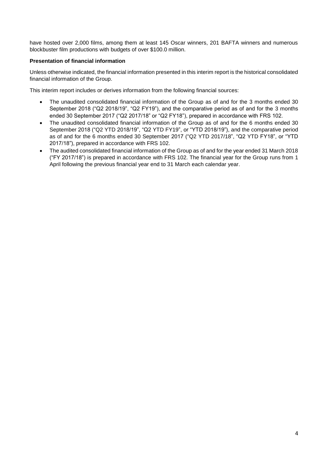have hosted over 2,000 films, among them at least 145 Oscar winners, 201 BAFTA winners and numerous blockbuster film productions with budgets of over \$100.0 million.

# **Presentation of financial information**

Unless otherwise indicated, the financial information presented in this interim report is the historical consolidated financial information of the Group.

This interim report includes or derives information from the following financial sources:

- The unaudited consolidated financial information of the Group as of and for the 3 months ended 30 September 2018 ("Q2 2018/19", "Q2 FY19"), and the comparative period as of and for the 3 months ended 30 September 2017 ("Q2 2017/18" or "Q2 FY18"), prepared in accordance with FRS 102.
- The unaudited consolidated financial information of the Group as of and for the 6 months ended 30 September 2018 ("Q2 YTD 2018/19", "Q2 YTD FY19", or "YTD 2018/19"), and the comparative period as of and for the 6 months ended 30 September 2017 ("Q2 YTD 2017/18", "Q2 YTD FY18", or "YTD 2017/18"), prepared in accordance with FRS 102.
- The audited consolidated financial information of the Group as of and for the year ended 31 March 2018 ("FY 2017/18") is prepared in accordance with FRS 102. The financial year for the Group runs from 1 April following the previous financial year end to 31 March each calendar year.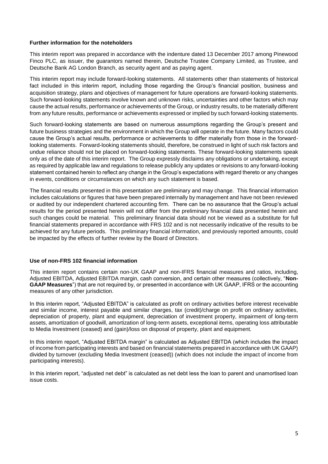#### **Further information for the noteholders**

This interim report was prepared in accordance with the indenture dated 13 December 2017 among Pinewood Finco PLC, as issuer, the guarantors named therein, Deutsche Trustee Company Limited, as Trustee, and Deutsche Bank AG London Branch, as security agent and as paying agent.

This interim report may include forward-looking statements. All statements other than statements of historical fact included in this interim report, including those regarding the Group's financial position, business and acquisition strategy, plans and objectives of management for future operations are forward-looking statements. Such forward-looking statements involve known and unknown risks, uncertainties and other factors which may cause the actual results, performance or achievements of the Group, or industry results, to be materially different from any future results, performance or achievements expressed or implied by such forward-looking statements.

Such forward-looking statements are based on numerous assumptions regarding the Group's present and future business strategies and the environment in which the Group will operate in the future. Many factors could cause the Group's actual results, performance or achievements to differ materially from those in the forwardlooking statements. Forward-looking statements should, therefore, be construed in light of such risk factors and undue reliance should not be placed on forward-looking statements. These forward-looking statements speak only as of the date of this interim report. The Group expressly disclaims any obligations or undertaking, except as required by applicable law and regulations to release publicly any updates or revisions to any forward-looking statement contained herein to reflect any change in the Group's expectations with regard thereto or any changes in events, conditions or circumstances on which any such statement is based.

The financial results presented in this presentation are preliminary and may change. This financial information includes calculations or figures that have been prepared internally by management and have not been reviewed or audited by our independent chartered accounting firm. There can be no assurance that the Group's actual results for the period presented herein will not differ from the preliminary financial data presented herein and such changes could be material. This preliminary financial data should not be viewed as a substitute for full financial statements prepared in accordance with FRS 102 and is not necessarily indicative of the results to be achieved for any future periods. This preliminary financial information, and previously reported amounts, could be impacted by the effects of further review by the Board of Directors.

### **Use of non-FRS 102 financial information**

This interim report contains certain non-UK GAAP and non-IFRS financial measures and ratios, including, Adjusted EBITDA, Adjusted EBITDA margin, cash conversion, and certain other measures (collectively, "**Non-GAAP Measures**") that are not required by, or presented in accordance with UK GAAP, IFRS or the accounting measures of any other jurisdiction.

In this interim report, "Adjusted EBITDA" is calculated as profit on ordinary activities before interest receivable and similar income, interest payable and similar charges, tax (credit)/charge on profit on ordinary activities, depreciation of property, plant and equipment, depreciation of investment property, impairment of long-term assets, amortization of goodwill, amortization of long-term assets, exceptional items, operating loss attributable to Media Investment (ceased) and (gain)/loss on disposal of property, plant and equipment.

In this interim report, "Adjusted EBITDA margin" is calculated as Adjusted EBITDA (which includes the impact of income from participating interests and based on financial statements prepared in accordance with UK GAAP) divided by turnover (excluding Media Investment (ceased)) (which does not include the impact of income from participating interests).

In this interim report, "adjusted net debt" is calculated as net debt less the loan to parent and unamortised loan issue costs.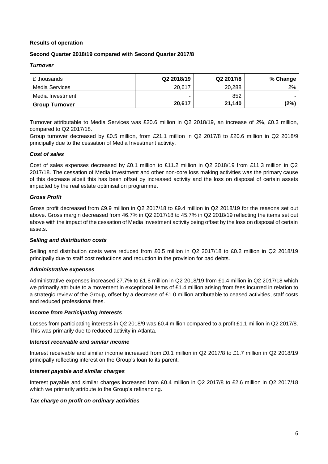### **Results of operation**

# **Second Quarter 2018/19 compared with Second Quarter 2017/8**

#### *Turnover*

| £ thousands           | Q2 2018/19 | Q2 2017/8 | % Change |
|-----------------------|------------|-----------|----------|
| Media Services        | 20.617     | 20,288    | 2%       |
| Media Investment      | ۰.         | 852       |          |
| <b>Group Turnover</b> | 20,617     | 21,140    | (2%)     |

Turnover attributable to Media Services was £20.6 million in Q2 2018/19, an increase of 2%, £0.3 million, compared to Q2 2017/18.

Group turnover decreased by £0.5 million, from £21.1 million in Q2 2017/8 to £20.6 million in Q2 2018/9 principally due to the cessation of Media Investment activity.

#### *Cost of sales*

Cost of sales expenses decreased by £0.1 million to £11.2 million in Q2 2018/19 from £11.3 million in Q2 2017/18. The cessation of Media Investment and other non-core loss making activities was the primary cause of this decrease albeit this has been offset by increased activity and the loss on disposal of certain assets impacted by the real estate optimisation programme.

### *Gross Profit*

Gross profit decreased from £9.9 million in Q2 2017/18 to £9.4 million in Q2 2018/19 for the reasons set out above. Gross margin decreased from 46.7% in Q2 2017/18 to 45.7% in Q2 2018/19 reflecting the items set out above with the impact of the cessation of Media Investment activity being offset by the loss on disposal of certain assets.

#### *Selling and distribution costs*

Selling and distribution costs were reduced from £0.5 million in Q2 2017/18 to £0.2 million in Q2 2018/19 principally due to staff cost reductions and reduction in the provision for bad debts.

#### *Administrative expenses*

Administrative expenses increased 27.7% to £1.8 million in Q2 2018/19 from £1.4 million in Q2 2017/18 which we primarily attribute to a movement in exceptional items of £1.4 million arising from fees incurred in relation to a strategic review of the Group, offset by a decrease of £1.0 million attributable to ceased activities, staff costs and reduced professional fees.

#### *Income from Participating Interests*

Losses from participating interests in Q2 2018/9 was £0.4 million compared to a profit £1.1 million in Q2 2017/8. This was primarily due to reduced activity in Atlanta.

#### *Interest receivable and similar income*

Interest receivable and similar income increased from £0.1 million in Q2 2017/8 to £1.7 million in Q2 2018/19 principally reflecting interest on the Group's loan to its parent.

#### *Interest payable and similar charges*

Interest payable and similar charges increased from £0.4 million in Q2 2017/8 to £2.6 million in Q2 2017/18 which we primarily attribute to the Group's refinancing.

### *Tax charge on profit on ordinary activities*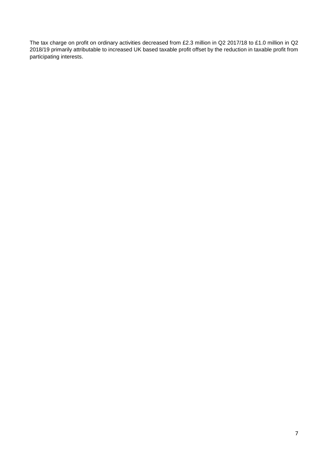The tax charge on profit on ordinary activities decreased from £2.3 million in Q2 2017/18 to £1.0 million in Q2 2018/19 primarily attributable to increased UK based taxable profit offset by the reduction in taxable profit from participating interests.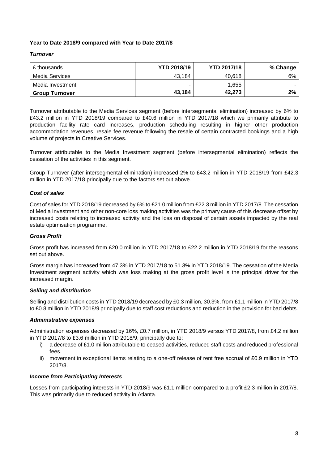# **Year to Date 2018/9 compared with Year to Date 2017/8**

### *Turnover*

| £ thousands           | <b>YTD 2018/19</b> | <b>YTD 2017/18</b> | % Change |
|-----------------------|--------------------|--------------------|----------|
| Media Services        | 43,184             | 40,618             | 6%       |
| Media Investment      | ۰                  | 1.655              |          |
| <b>Group Turnover</b> | 43,184             | 42,273             | 2%       |

Turnover attributable to the Media Services segment (before intersegmental elimination) increased by 6% to £43.2 million in YTD 2018/19 compared to £40.6 million in YTD 2017/18 which we primarily attribute to production facility rate card increases, production scheduling resulting in higher other production accommodation revenues, resale fee revenue following the resale of certain contracted bookings and a high volume of projects in Creative Services.

Turnover attributable to the Media Investment segment (before intersegmental elimination) reflects the cessation of the activities in this segment.

Group Turnover (after intersegmental elimination) increased 2% to £43.2 million in YTD 2018/19 from £42.3 million in YTD 2017/18 principally due to the factors set out above.

### *Cost of sales*

Cost of sales for YTD 2018/19 decreased by 6% to £21.0 million from £22.3 million in YTD 2017/8. The cessation of Media Investment and other non-core loss making activities was the primary cause of this decrease offset by increased costs relating to increased activity and the loss on disposal of certain assets impacted by the real estate optimisation programme.

# *Gross Profit*

Gross profit has increased from £20.0 million in YTD 2017/18 to £22.2 million in YTD 2018/19 for the reasons set out above.

Gross margin has increased from 47.3% in YTD 2017/18 to 51.3% in YTD 2018/19. The cessation of the Media Investment segment activity which was loss making at the gross profit level is the principal driver for the increased margin.

### *Selling and distribution*

Selling and distribution costs in YTD 2018/19 decreased by £0.3 million, 30.3%, from £1.1 million in YTD 2017/8 to £0.8 million in YTD 2018/9 principally due to staff cost reductions and reduction in the provision for bad debts.

### *Administrative expenses*

Administration expenses decreased by 16%, £0.7 million, in YTD 2018/9 versus YTD 2017/8, from £4.2 million in YTD 2017/8 to £3.6 million in YTD 2018/9, principally due to:

- i) a decrease of £1.0 million attributable to ceased activities, reduced staff costs and reduced professional fees.
- ii) movement in exceptional items relating to a one-off release of rent free accrual of £0.9 million in YTD 2017/8.

### *Income from Participating Interests*

Losses from participating interests in YTD 2018/9 was £1.1 million compared to a profit £2.3 million in 2017/8. This was primarily due to reduced activity in Atlanta.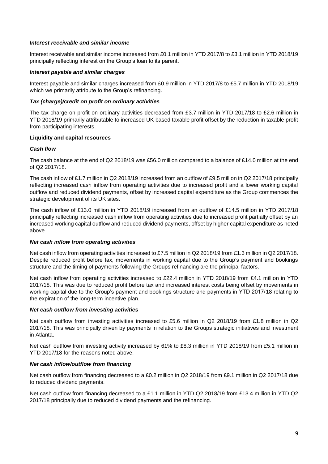#### *Interest receivable and similar income*

Interest receivable and similar income increased from £0.1 million in YTD 2017/8 to £3.1 million in YTD 2018/19 principally reflecting interest on the Group's loan to its parent.

#### *Interest payable and similar charges*

Interest payable and similar charges increased from £0.9 million in YTD 2017/8 to £5.7 million in YTD 2018/19 which we primarily attribute to the Group's refinancing.

#### *Tax (charge)/credit on profit on ordinary activities*

The tax charge on profit on ordinary activities decreased from £3.7 million in YTD 2017/18 to £2.6 million in YTD 2018/19 primarily attributable to increased UK based taxable profit offset by the reduction in taxable profit from participating interests.

### **Liquidity and capital resources**

#### *Cash flow*

The cash balance at the end of Q2 2018/19 was £56.0 million compared to a balance of £14.0 million at the end of Q2 2017/18.

The cash inflow of £1.7 million in Q2 2018/19 increased from an outflow of £9.5 million in Q2 2017/18 principally reflecting increased cash inflow from operating activities due to increased profit and a lower working capital outflow and reduced dividend payments, offset by increased capital expenditure as the Group commences the strategic development of its UK sites.

The cash inflow of £13.0 million in YTD 2018/19 increased from an outflow of £14.5 million in YTD 2017/18 principally reflecting increased cash inflow from operating activities due to increased profit partially offset by an increased working capital outflow and reduced dividend payments, offset by higher capital expenditure as noted above.

# *Net cash inflow from operating activities*

Net cash inflow from operating activities increased to £7.5 million in Q2 2018/19 from £1.3 million in Q2 2017/18. Despite reduced profit before tax, movements in working capital due to the Group's payment and bookings structure and the timing of payments following the Groups refinancing are the principal factors.

Net cash inflow from operating activities increased to £22.4 million in YTD 2018/19 from £4.1 million in YTD 2017/18. This was due to reduced profit before tax and increased interest costs being offset by movements in working capital due to the Group's payment and bookings structure and payments in YTD 2017/18 relating to the expiration of the long-term incentive plan.

#### *Net cash outflow from investing activities*

Net cash outflow from investing activities increased to £5.6 million in Q2 2018/19 from £1.8 million in Q2 2017/18. This was principally driven by payments in relation to the Groups strategic initiatives and investment in Atlanta.

Net cash outflow from investing activity increased by 61% to £8.3 million in YTD 2018/19 from £5.1 million in YTD 2017/18 for the reasons noted above.

### *Net cash inflow/outflow from financing*

Net cash outflow from financing decreased to a £0.2 million in Q2 2018/19 from £9.1 million in Q2 2017/18 due to reduced dividend payments.

Net cash outflow from financing decreased to a £1.1 million in YTD Q2 2018/19 from £13.4 million in YTD Q2 2017/18 principally due to reduced dividend payments and the refinancing.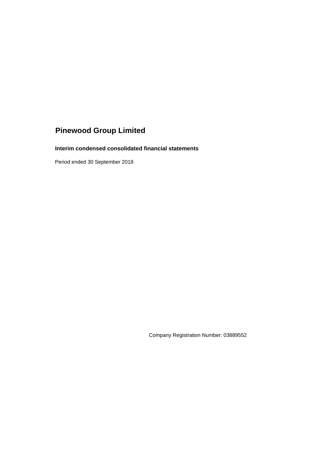**Interim condensed consolidated financial statements**

Period ended 30 September 2018

Company Registration Number: 03889552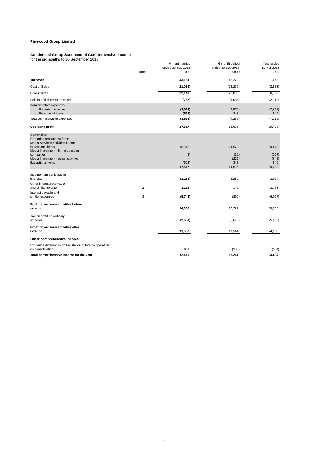#### **Condensed Group Statement of Comprehensive Income**

for the six months to 30 September 2018

|                                                                                  |                | 6 month period<br>ended 30 Sep 2018 | 6 month period<br>ended 30 Sep 2017 | Year ended<br>31 Mar 2018 |
|----------------------------------------------------------------------------------|----------------|-------------------------------------|-------------------------------------|---------------------------|
|                                                                                  | Notes          | £'000                               | £'000                               | £'000                     |
| <b>Turnover</b>                                                                  | 1              | 43,184                              | 42,273                              | 81,663                    |
| Cost of Sales                                                                    |                | (21, 035)                           | (22, 265)                           | (42, 933)                 |
| <b>Gross profit</b>                                                              |                | 22,149                              | 20,008                              | 38,730                    |
| Selling and distribution costs                                                   |                | (757)                               | (1,086)                             | (2, 118)                  |
| Administrative expenses<br>Recurring activities<br><b>Exceptional items</b>      |                | (3,052)<br>(523)                    | (4, 579)<br>343                     | (7,668)<br>549            |
| Total administrative expenses                                                    |                | (3, 575)                            | (4, 236)                            | (7, 119)                  |
| <b>Operating profit</b>                                                          |                | 17,817                              | 14,686                              | 29,493                    |
| Comprising:<br>Operating profit/(loss) from:<br>Media Services activities before |                |                                     |                                     |                           |
| exceptional items<br>Media Investment - film production                          |                | 18,342                              | 14,572                              | 29,849                    |
| companies                                                                        |                | (2)                                 | (12)                                | (257)                     |
| Media Investment - other activities<br><b>Exceptional items</b>                  |                | (523)                               | (217)<br>343                        | (648)<br>549              |
|                                                                                  |                | 17,817                              | 14,686                              | 29,493                    |
| Income from participating                                                        |                |                                     |                                     |                           |
| interests                                                                        |                | (1, 133)                            | 2,280                               | 3,064                     |
| Other interest receivable<br>and similar income                                  | $\overline{2}$ | 3,115                               | 146                                 | 3,773                     |
| Interest payable and                                                             |                |                                     |                                     |                           |
| similar expenses                                                                 | 3              | (5,744)                             | (890)                               | (6,067)                   |
| Profit on ordinary activities before<br>taxation                                 |                | 14,055                              | 16,222                              | 30,263                    |
| Tax on profit on ordinary<br>activities                                          |                | (2, 553)                            | (3,678)                             | (5,905)                   |
| Profit on ordinary activities after<br>taxation                                  |                | 11,502                              | 12,544                              | 24,358                    |
| Other comprehensive income                                                       |                |                                     |                                     |                           |
| Exchange differences on translation of foreign operations<br>on consolidation    |                | 908                                 | (303)                               | (554)                     |
| Total comprehensive income for the year                                          |                | 12,410                              | 12,241                              | 23,804                    |
|                                                                                  |                |                                     |                                     |                           |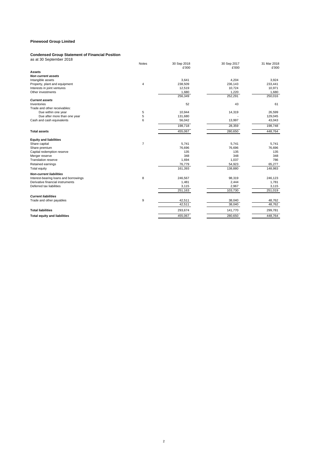#### **Condensed Group Statement of Financial Position**

| Condensed Group Statement of Financial Fosition |       |             |             |             |
|-------------------------------------------------|-------|-------------|-------------|-------------|
| as at 30 September 2018                         |       |             |             |             |
|                                                 | Notes | 30 Sep 2018 | 30 Sep 2017 | 31 Mar 2018 |
|                                                 |       | £'000       | £'000       | £'000       |
| <b>Assets</b>                                   |       |             |             |             |
| <b>Non current assets</b>                       |       |             |             |             |
| Intangible assets                               |       | 3,641       | 4,204       | 3,924       |
| Property, plant and equipment                   | 4     | 238,509     | 236,143     | 233,441     |
| Interests in joint ventures                     |       | 12,519      | 10,724      | 10,971      |
| Other investments                               |       | 1,680       | 1,220       | 1,680       |
|                                                 |       | 256,349     | 252,291     | 250,016     |
| <b>Current assets</b>                           |       |             |             |             |
| Inventories                                     |       | 52          | 43          | 61          |
| Trade and other receivables:                    |       |             |             |             |
| Due within one year                             | 5     | 10,944      | 14,319      | 26,599      |
| Due after more than one year                    | 5     | 131,680     |             | 129,045     |
| Cash and cash equivalents                       | 6     | 56,042      | 13,997      | 43,043      |
|                                                 |       | 198,718     | 28,359      | 198,748     |
| <b>Total assets</b>                             |       | 455,067     | 280,650     | 448,764     |
| <b>Equity and liabilities</b>                   |       |             |             |             |
| Share capital                                   | 7     | 5,741       | 5,741       | 5,741       |
| Share premium                                   |       | 76,696      | 76,696      | 76,696      |
| Capital redemption reserve                      |       | 135         | 135         | 135         |
| Merger reserve                                  |       | 348         | 348         | 348         |
| <b>Translation reserve</b>                      |       | 1,694       | 1,037       | 786         |
| Retained earnings                               |       | 76,779      | 54,923      | 65,277      |
| Total equity                                    |       | 161,393     | 138,880     | 148,983     |
| <b>Non-current liabilities</b>                  |       |             |             |             |
| Interest-bearing loans and borrowings           | 8     | 246,567     | 98,319      | 246,123     |
| Derivative financial instruments                |       | 1,481       | 2,444       | 1,781       |
| Deferred tax liabilities                        |       | 3,115       | 2,967       | 3,115       |
|                                                 |       | 251,163     | 103,730     | 251,019     |
| <b>Current liabilities</b>                      |       |             |             |             |

Trade and other payables **12.511** 38,040 42,511 38,040 48,762

 $\frac{1,680}{250,016}$ 

28,359<br>129,045<br>43,043<br>198,748<br>448,764

246,123<br>1,781<br>3,115<br>251,019

38,040 42,511 48,762

**Total liabilities** 141,770 293,674 299,781 **Total equity and liabilities** 280,650 448,764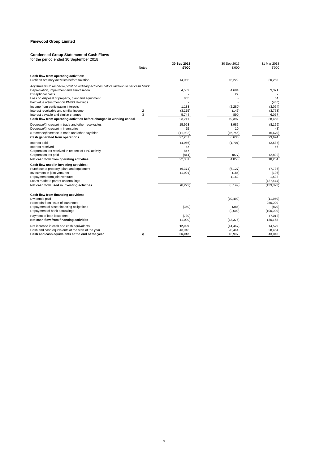#### **Condensed Group Statement of Cash Flows**

| for the period ended 30 September 2018 |  |
|----------------------------------------|--|
|----------------------------------------|--|

|                                                                                           |              | 30 Sep 2018        | 30 Sep 2017        | 31 Mar 2018       |
|-------------------------------------------------------------------------------------------|--------------|--------------------|--------------------|-------------------|
|                                                                                           | <b>Notes</b> | £'000              | £'000              | £'000             |
| Cash flow from operating activities:                                                      |              |                    |                    |                   |
| Profit on ordinary activities before taxation                                             |              | 14,055             | 16,222             | 30,263            |
| Adjustments to reconcile profit on ordinary activities before taxation to net cash flows: |              |                    |                    |                   |
| Depreciation, impairment and amortisation                                                 |              | 4,589              | 4,684              | 9,371             |
| <b>Exceptional costs</b>                                                                  |              |                    | 27                 |                   |
| Loss on disposal of property, plant and equipment                                         |              | 805                |                    | 54                |
| Fair value adjustment on PMBS Holdings                                                    |              |                    |                    | (460)             |
| Income from participating interests                                                       |              | 1,133              | (2,280)            | (3,064)           |
| Interest receivable and similar income<br>Interest payable and similar charges            | 2<br>3       | (3, 115)<br>5,744  | (146)<br>890       | (3,773)<br>6,067  |
| Cash flow from operating activities before changes in working capital                     |              | 23,211             | 19,397             | 38,458            |
|                                                                                           |              |                    |                    |                   |
| Decrease/(increase) in trade and other receivables                                        |              | 15,993             | 3,985              | (8, 156)          |
| Decrease/(increase) in inventories                                                        |              | 15                 | 10                 | (8)               |
| (Decrease)/increase in trade and other payables                                           |              | (11,982)           | (16, 756)<br>6,636 | (6,670)<br>23,624 |
| Cash generated from operations                                                            |              | 27,237             |                    |                   |
| Interest paid                                                                             |              | (4,966)            | (1,701)            | (2, 587)          |
| Interest received                                                                         |              | 57                 |                    | 56                |
| Corporation tax received in respect of FPC activity<br>Corporation tax paid               |              | 847<br>(814)       | (877)              | (2,809)           |
| Net cash flow from operating activities                                                   |              | 22,361             | 4,058              | 18,284            |
|                                                                                           |              |                    |                    |                   |
| Cash flow used in investing activities:                                                   |              |                    |                    |                   |
| Purchase of property, plant and equipment<br>Investment in joint ventures                 |              | (6,371)<br>(1,901) | (6, 127)<br>(184)  | (7,736)<br>(196)  |
| Repayment from joint ventures                                                             |              |                    | 1,162              | 1,533             |
| Loans made to parent undertakings                                                         |              |                    |                    | (127, 474)        |
| Net cash flow used in investing activities                                                |              | (8,272)            | (5, 149)           | (133, 873)        |
|                                                                                           |              |                    |                    |                   |
| Cash flow from financing activities:                                                      |              |                    |                    |                   |
| Dividends paid                                                                            |              |                    | (10, 490)          | (11,950)          |
| Proceeds from issue of loan notes                                                         |              |                    |                    | 250,000           |
| Repayment of asset financing obligations                                                  |              | (360)              | (386)              | (870)             |
| Repayment of bank borrowings                                                              |              |                    | (2,500)            | (100,000)         |
| Payment of loan issue fees                                                                |              | (730)              |                    | (7,012)           |
| Net cash flow from financing activities                                                   |              | (1,090)            | (13, 376)          | 130,168           |
| Net increase in cash and cash equivalents                                                 |              | 12,999             | (14, 467)          | 14,579            |
| Cash and cash equivalents at the start of the year                                        |              | 43,043             | 28,464             | 28,464            |
| Cash and cash equivalents at the end of the year                                          | 6            | 56,042             | 13,997             | 43,043            |
|                                                                                           |              |                    |                    |                   |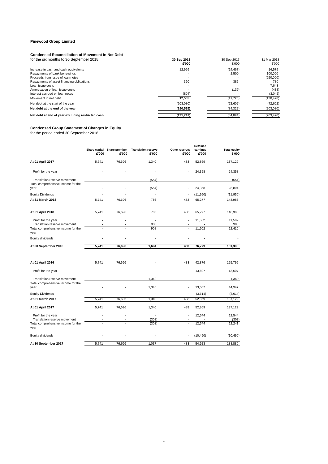#### **Condensed Reconciliation of Movement in Net Debt**

| 30 Sep 2018<br>£'000 | 30 Sep 2017<br>£'000 | 31 Mar 2018<br>£'000 |
|----------------------|----------------------|----------------------|
| 12.999               | (14, 467)            | 14.579               |
|                      | 2.500                | 100,000              |
|                      |                      | (250,000)            |
| 360                  | 386                  | 780                  |
|                      |                      | 7.643                |
|                      | (139)                | (438)                |
| (804)                |                      | (3,042)              |
| 12.555               | (11, 720)            | (130, 478)           |
| (203, 080)           | (72, 602)            | (72,602)             |
| (190, 525)           | (84, 322)            | (203, 080)           |
| (191, 747)           | (84, 894)            | (203, 470)           |
|                      |                      |                      |

#### **Condensed Group Statement of Changes in Equity**

for the period ended 30 September 2018

|                                                                                                   | £'000 | Share capital Share premium<br>£'000 | <b>Translation reserve</b><br>£'000 | Other reserves<br>£'000 | <b>Retained</b><br>earnings<br>£'000 | <b>Total equity</b><br>£'000 |
|---------------------------------------------------------------------------------------------------|-------|--------------------------------------|-------------------------------------|-------------------------|--------------------------------------|------------------------------|
| At 01 April 2017                                                                                  | 5,741 | 76,696                               | 1,340                               | 483                     | 52,869                               | 137,129                      |
| Profit for the year                                                                               |       |                                      |                                     | ٠                       | 24,358                               | 24,358                       |
| Translation reserve movement<br>Total comprehensive income for the<br>year                        |       |                                      | (554)<br>(554)                      |                         | 24,358                               | (554)<br>23,804              |
| <b>Equity Dividends</b>                                                                           |       |                                      |                                     |                         | (11,950)                             | (11, 950)                    |
| At 31 March 2018                                                                                  | 5,741 | 76,696                               | 786                                 | 483                     | 65,277                               | 148,983                      |
| At 01 April 2018                                                                                  | 5,741 | 76,696                               | 786                                 | 483                     | 65,277                               | 148,983                      |
| Profit for the year<br>Translation reserve movement                                               |       |                                      | 908                                 | ٠                       | 11,502                               | 11,502<br>908                |
| Total comprehensive income for the<br>year                                                        |       |                                      | 908                                 | ÷,                      | 11,502                               | 12,410                       |
| Equity dividends                                                                                  |       |                                      |                                     |                         |                                      |                              |
| At 30 September 2018                                                                              | 5,741 | 76,696                               | 1,694                               | 483                     | 76,779                               | 161,393                      |
| At 01 April 2016                                                                                  | 5,741 | 76,696                               |                                     | 483                     | 42,876                               | 125,796                      |
| Profit for the year                                                                               |       |                                      |                                     | $\ddot{\phantom{1}}$    | 13,607                               | 13,607                       |
| Translation reserve movement                                                                      |       |                                      | 1,340                               |                         |                                      | 1,340                        |
| Total comprehensive income for the<br>year                                                        |       |                                      | 1,340                               |                         | 13,607                               | 14,947                       |
| <b>Equity Dividends</b>                                                                           |       |                                      |                                     |                         | (3,614)                              | (3,614)                      |
| At 31 March 2017                                                                                  | 5,741 | 76,696                               | 1,340                               | 483                     | 52,869                               | 137,129                      |
| At 01 April 2017                                                                                  | 5,741 | 76,696                               | 1,340                               | 483                     | 52,869                               | 137,129                      |
| Profit for the year<br>Translation reserve movement<br>Total comprehensive income for the<br>year |       |                                      | (303)<br>(303)                      | ÷,<br>J.                | 12,544<br>12,544                     | 12,544<br>(303)<br>12.241    |
| Equity dividends                                                                                  |       |                                      |                                     |                         | (10, 490)                            | (10, 490)                    |
| At 30 September 2017                                                                              | 5,741 | 76,696                               | 1,037                               | 483                     | 54,923                               | 138,880                      |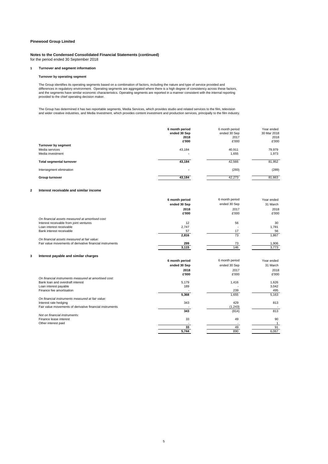**Notes to the Condensed Consolidated Financial Statements (continued)** for the period ended 30 September 2018

#### **1 Turnover and segment information**

#### **Turnover by operating segment**

The Group identifies its operating segments based on a combination of factors, including the nature and type of service provided and<br>differences in regulatory environment. Operating segments are aggregated where there is and the segments have similar economic characteristics. Operating segments are reported in a manner consistent with the internal reporting provided to the chief operating decision maker.

The Group has determined it has two reportable segments, Media Services, which provides studio and related services to the film, television<br>and wider creative industries, and Media Investment, which provides content invest

|                                                                  | 6 month period<br>ended 30 Sep<br>2018<br>£'000 | 6 month period<br>ended 30 Sep<br>2017<br>£'000 | Year ended<br>30 Mar 2018<br>2018<br>£'000 |
|------------------------------------------------------------------|-------------------------------------------------|-------------------------------------------------|--------------------------------------------|
| <b>Turnover by segment</b><br>Media services<br>Media investment | 43,184<br>. .                                   | 40,911<br>1,655                                 | 79,979<br>1,973                            |
| <b>Total segmental turnover</b>                                  | 43,184                                          | 42,566                                          | 81,952                                     |
| Intersegment elimination                                         | $\overline{\phantom{a}}$                        | (293)                                           | (289)                                      |
| Group turnover                                                   | 43,184                                          | 42,273                                          | 81,663                                     |

#### **2 Interest receivable and similar income**

|                                                          | 6 month period | 6 month period | Year ended |
|----------------------------------------------------------|----------------|----------------|------------|
|                                                          | ended 30 Sep   | ended 30 Sep   | 31 March   |
|                                                          | 2018           | 2017           | 2018       |
|                                                          | £'000          | £'000          | £'000      |
| On financial assets measured at amortised cost:          |                |                |            |
| Interest receivable from joint ventures                  | 12             | 56             | 30         |
| Loan interest receivable                                 | 2,747          |                | 1,781      |
| Bank interest receivable                                 | 57             | 17             | 56         |
|                                                          | 2,816          | 73             | 1,867      |
| On financial assets measured at fair value:              |                |                |            |
| Fair value movements of derivative financial instruments | 299            | 73             | 1,906      |
|                                                          | 3,115          | 146            | 3,773      |
|                                                          |                |                |            |
| Interest payable and similar charges                     |                |                |            |
|                                                          | 6 month period | 6 month period | Year ended |
|                                                          | ended 30 Sep   | ended 30 Sep   | 31 March   |
|                                                          | 2018           | 2017           | 2018       |
|                                                          | £'000          | £'000          | £'000      |
| On financial instruments measured at amortised cost:     |                |                |            |
| Bank loan and overdraft interest                         | 5,179          | 1,416          | 1,626      |
| Loan interest payable                                    | 189            |                | 3,042      |
| Finance fee amortisation                                 |                | 239            | 495        |
|                                                          | 5,368          | 1,655          | 5,163      |
| On financial instruments measured at fair value:         |                |                |            |
| Interest rate hedging                                    | 343            | 429            | 813        |
| Fair value movements of derivative financial instruments |                | (1, 243)       |            |
|                                                          | 343            | (814)          | 813        |
| Not on financial instruments:                            |                |                |            |
| Finance lease interest                                   | 33             | 49             | 90         |
| Other interest paid                                      |                |                |            |
|                                                          | 33             | 49             | 91         |
|                                                          | 5.744          | 890            | 6.067      |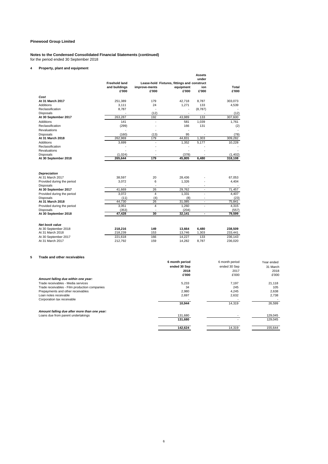#### **Notes to the Condensed Consolidated Financial Statements (continued)** for the period ended 30 September 2018

#### **4 Property, plant and equipment**

|   |                                                                                    |                                                |                        |                                                                   | <b>Assets</b><br>under        |                          |               |
|---|------------------------------------------------------------------------------------|------------------------------------------------|------------------------|-------------------------------------------------------------------|-------------------------------|--------------------------|---------------|
|   |                                                                                    | <b>Freehold land</b><br>and buildings<br>£'000 | improve-ments<br>£'000 | Lease-hold Fixtures, fittings and construct<br>equipment<br>£'000 | ion<br>£'000                  | Total<br>£'000           |               |
|   | Cost                                                                               |                                                |                        |                                                                   |                               |                          |               |
|   | At 31 March 2017                                                                   | 251,389                                        | 179                    | 42,718                                                            | 8,787                         | 303,073                  |               |
|   | <b>Additions</b>                                                                   | 3,111                                          | 24                     | 1,271                                                             | 133                           | 4,539                    |               |
|   | Reclassification                                                                   | 8,787                                          |                        | ÷.                                                                | (8,787)                       |                          |               |
|   | <b>Disposals</b>                                                                   |                                                | (12)                   |                                                                   |                               | (12)                     |               |
|   | At 30 September 2017                                                               | 263,287                                        | 192                    | 43,989                                                            | 133                           | 307,600                  |               |
|   | <b>Additions</b>                                                                   | 141                                            | $\sim$                 | 581                                                               | 1,039                         | 1,761                    |               |
|   | Reclassification                                                                   | (299)                                          |                        | 166                                                               | 131                           | (2)                      |               |
|   | <b>Revaluations</b>                                                                |                                                |                        | ÷,                                                                |                               |                          |               |
|   | <b>Disposals</b>                                                                   | (160)                                          | (13)                   | 95                                                                | ÷                             | (78)                     |               |
|   | At 31 March 2018                                                                   | 262,969                                        | 179                    | 44,831                                                            | 1,303                         | 309,282                  |               |
|   | Additions                                                                          | 3,699                                          | $\overline{a}$         | 1,352                                                             | 5,177                         | 10,228                   |               |
|   | Reclassification                                                                   |                                                | $\overline{a}$         | ÷,                                                                |                               |                          |               |
|   | Revaluations                                                                       | ÷.                                             | $\sim$                 | ÷.                                                                |                               |                          |               |
|   | <b>Disposals</b>                                                                   | (1,024)                                        |                        | (378)                                                             | $\overline{\phantom{a}}$      | (1,402)                  |               |
|   | At 30 September 2018                                                               | 265,644                                        | 179                    | 45,805                                                            | 6,480                         | 318,108                  |               |
|   | <b>Depreciation</b>                                                                |                                                |                        |                                                                   |                               |                          |               |
|   | At 31 March 2017                                                                   | 38,597                                         | 20                     | 28,436                                                            |                               | 67,053                   |               |
|   | Provided during the period<br>Disposals                                            | 3.072                                          | 6                      | 1.326                                                             | ٠<br>$\overline{\phantom{a}}$ | 4,404                    |               |
|   | At 30 September 2017                                                               | 41,669                                         | 26                     | 29,762                                                            | $\blacksquare$                | 71,457                   |               |
|   | Provided during the period                                                         | 3,072                                          | $\overline{4}$         | 1,331                                                             | $\overline{a}$                | 4,407                    |               |
|   | <b>Disposals</b>                                                                   | (11)                                           | (4)                    | (8)                                                               | $\ddot{\phantom{1}}$          | (23)                     |               |
|   | At 31 March 2018                                                                   | 44,730                                         | 26                     | 31.085                                                            | $\sim$                        | 75.841                   |               |
|   | Provided during the period                                                         | 3,051                                          | $\overline{4}$         | 1,260                                                             | ä,                            | 4,315                    |               |
|   | <b>Disposals</b>                                                                   | (353)                                          | $\overline{a}$         | (204)                                                             |                               | (557)                    |               |
|   | At 30 September 2018                                                               | 47,428                                         | 30                     | 32,141                                                            | $\overline{\phantom{a}}$      | 79,599                   |               |
|   | Net book value                                                                     |                                                |                        |                                                                   |                               |                          |               |
|   | At 30 September 2018                                                               | 218,216                                        | 149                    | 13,664                                                            | 6,480                         | 238,509                  |               |
|   | At 31 March 2018                                                                   | 218,239                                        | 153                    | 13,746                                                            | 1,303                         | 233,441                  |               |
|   | At 30 September 2017<br>At 31 March 2017                                           | 221,618<br>212,792                             | 166<br>159             | 14,227<br>14,282                                                  | 133<br>8,787                  | 236,143<br>236,020       |               |
|   |                                                                                    |                                                |                        |                                                                   |                               |                          |               |
| 5 | Trade and other receivables                                                        |                                                |                        |                                                                   |                               |                          |               |
|   |                                                                                    |                                                |                        | 6 month period                                                    |                               | 6 month period           | Year ended    |
|   |                                                                                    |                                                |                        | ended 30 Sep                                                      |                               | ended 30 Sep             | 31 March      |
|   |                                                                                    |                                                |                        | 2018                                                              |                               | 2017                     | 2018          |
|   |                                                                                    |                                                |                        | £'000                                                             |                               | £'000                    | £'000         |
|   | Amount falling due within one year:                                                |                                                |                        |                                                                   |                               |                          |               |
|   | Trade receivables - Media services                                                 |                                                |                        | 5,233<br>34                                                       |                               | 7,197<br>245             | 21,118<br>105 |
|   | Trade receivables - Film production companies<br>Dranoumonto and other resolutions |                                                |                        | 0.000                                                             |                               | $0A$ E<br>$\overline{A}$ | 0.000         |

|         |        | 2,638   |
|---------|--------|---------|
| 2,697   | 2,632  | 2.738   |
|         |        |         |
| 10.944  | 14.319 | 26,599  |
|         |        |         |
| 131,680 |        | 129.045 |
| 131.680 |        | 129,045 |
| 142.624 | 14.319 | 155.644 |
|         | 2.980  | 4.245   |